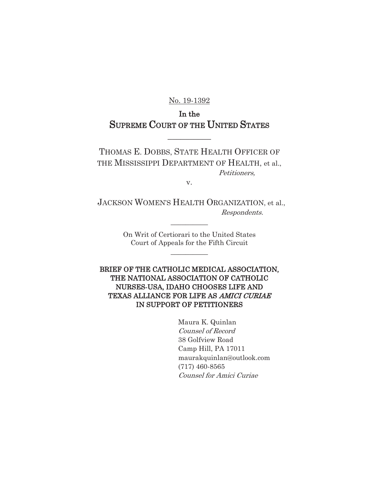No. 19-1392

# In the SUPREME COURT OF THE UNITED STATES

 $\overline{\phantom{a}}$ 

THOMAS E. DOBBS, STATE HEALTH OFFICER OF THE MISSISSIPPI DEPARTMENT OF HEALTH, et al., Petitioners,

v.

 JACKSON WOMEN'S HEALTH ORGANIZATION, et al., Respondents.

 $\frac{1}{2}$ 

On Writ of Certiorari to the United States Court of Appeals for the Fifth Circuit

 $\frac{1}{2}$ 

BRIEF OF THE CATHOLIC MEDICAL ASSOCIATION, THE NATIONAL ASSOCIATION OF CATHOLIC NURSES-USA, IDAHO CHOOSES LIFE AND TEXAS ALLIANCE FOR LIFE AS AMICI CURIAE IN SUPPORT OF PETITIONERS

> Maura K. Quinlan Counsel of Record 38 Golfview Road Camp Hill, PA 17011 maurakquinlan@outlook.com (717) 460-8565 Counsel for Amici Curiae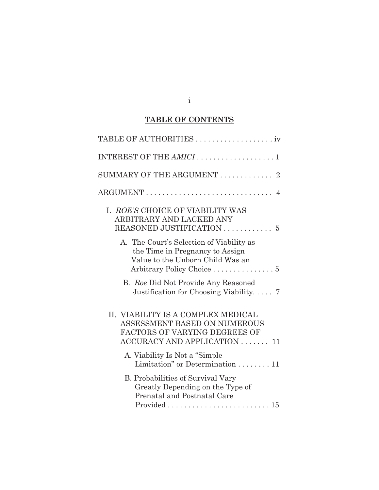# **TABLE OF CONTENTS**

| SUMMARY OF THE ARGUMENT $\ldots \ldots \ldots \ldots$ 2                                                                            |
|------------------------------------------------------------------------------------------------------------------------------------|
| ARGUMENT<br>$\overline{4}$                                                                                                         |
| I. ROE'S CHOICE OF VIABILITY WAS<br>ARBITRARY AND LACKED ANY                                                                       |
| A. The Court's Selection of Viability as<br>the Time in Pregnancy to Assign<br>Value to the Unborn Child Was an                    |
| B. Roe Did Not Provide Any Reasoned<br>Justification for Choosing Viability $7$                                                    |
| II. VIABILITY IS A COMPLEX MEDICAL<br>ASSESSMENT BASED ON NUMEROUS<br>FACTORS OF VARYING DEGREES OF<br>ACCURACY AND APPLICATION 11 |
| A. Viability Is Not a "Simple"<br>Limitation" or Determination 11                                                                  |
| B. Probabilities of Survival Vary<br>Greatly Depending on the Type of<br>Prenatal and Postnatal Care                               |

i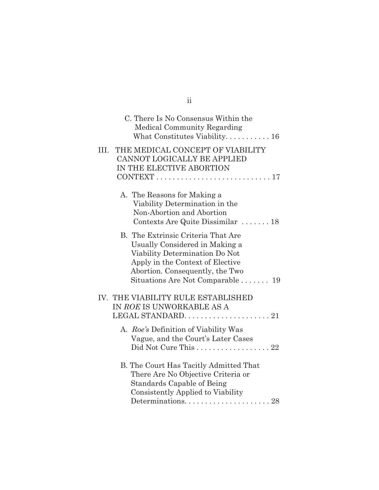|      | C. There Is No Consensus Within the<br><b>Medical Community Regarding</b>                                                                                                                                                       |
|------|---------------------------------------------------------------------------------------------------------------------------------------------------------------------------------------------------------------------------------|
| III. | THE MEDICAL CONCEPT OF VIABILITY<br>CANNOT LOGICALLY BE APPLIED<br>IN THE ELECTIVE ABORTION                                                                                                                                     |
|      | A. The Reasons for Making a<br>Viability Determination in the<br>Non-Abortion and Abortion<br>Contexts Are Quite Dissimilar  18                                                                                                 |
|      | B. The Extrinsic Criteria That Are<br>Usually Considered in Making a<br>Viability Determination Do Not<br>Apply in the Context of Elective<br>Abortion. Consequently, the Two<br>Situations Are Not Comparable $\dots \dots$ 19 |
|      | IV. THE VIABILITY RULE ESTABLISHED<br>IN ROE IS UNWORKABLE AS A                                                                                                                                                                 |
|      | A. Roe's Definition of Viability Was<br>Vague, and the Court's Later Cases                                                                                                                                                      |
|      | B. The Court Has Tacitly Admitted That<br>There Are No Objective Criteria or<br>Standards Capable of Being<br>Consistently Applied to Viability                                                                                 |

| ۰. | ۰.  |  |
|----|-----|--|
|    |     |  |
|    | . . |  |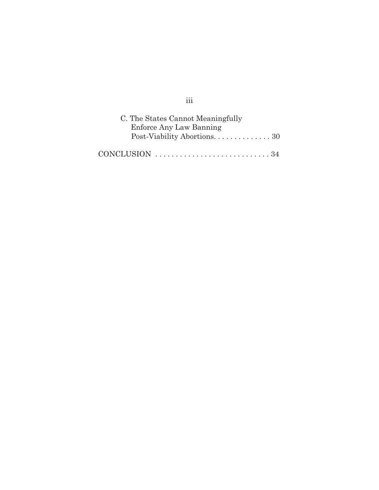| C. The States Cannot Meaningfully                                       |
|-------------------------------------------------------------------------|
| Enforce Any Law Banning                                                 |
|                                                                         |
|                                                                         |
| CONCLUSION $\ldots \ldots \ldots \ldots \ldots \ldots \ldots \ldots 34$ |

iii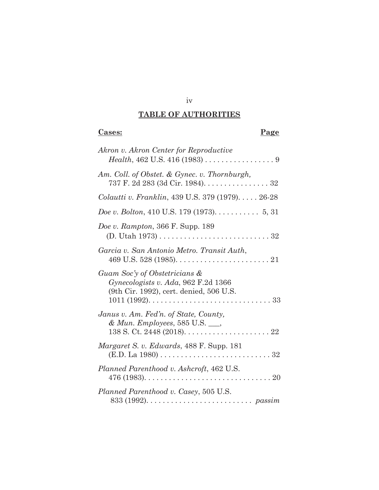# **TABLE OF AUTHORITIES**

iv

## **Cases:****Page**

| Akron v. Akron Center for Reproductive<br><i>Health</i> , 462 U.S. 416 (1983) $\dots \dots \dots \dots \dots \dots$                    |
|----------------------------------------------------------------------------------------------------------------------------------------|
| Am. Coll. of Obstet. & Gynec. v. Thornburgh,<br>737 F. 2d 283 (3d Cir. 1984). 32                                                       |
| Colautti v. Franklin, 439 U.S. 379 (1979) 26-28                                                                                        |
| <i>Doe v. Bolton,</i> 410 U.S. 179 (1973). $\dots \dots \dots 5, 31$                                                                   |
| <i>Doe v. Rampton, 366 F. Supp.</i> 189                                                                                                |
| Garcia v. San Antonio Metro. Transit Auth,                                                                                             |
| Guam Soc'y of Obstetricians &<br>Gynecologists v. Ada, 962 F.2d 1366<br>(9th Cir. 1992), cert. denied, 506 U.S.                        |
| Janus v. Am. Fed'n. of State, County,<br>& Mun. Employees, 585 U.S. __,                                                                |
| <i>Margaret S. v. Edwards</i> , 488 F. Supp. 181<br>$(E.D. La 1980) \ldots \ldots \ldots \ldots \ldots \ldots \ldots \ldots \ldots 32$ |
| Planned Parenthood v. Ashcroft, 462 U.S.                                                                                               |
| Planned Parenthood v. Casey, 505 U.S.                                                                                                  |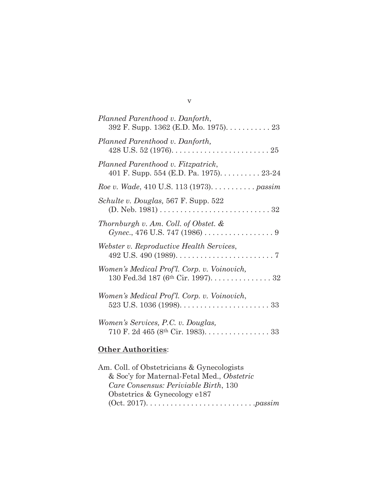| Planned Parenthood v. Danforth,<br>392 F. Supp. 1362 (E.D. Mo. 1975). 23                                                   |
|----------------------------------------------------------------------------------------------------------------------------|
| Planned Parenthood v. Danforth,                                                                                            |
| Planned Parenthood v. Fitzpatrick,<br>401 F. Supp. 554 (E.D. Pa. 1975). $\dots \dots \dots 23-24$                          |
| Roe v. Wade, 410 U.S. 113 (1973). passim                                                                                   |
| Schulte v. Douglas, 567 F. Supp. 522<br>(D. Neb. 1981) $\ldots \ldots \ldots \ldots \ldots \ldots \ldots \ldots \ldots 32$ |
| Thornburgh v. Am. Coll. of Obstet. $\&$                                                                                    |
| Webster v. Reproductive Health Services,                                                                                   |
| Women's Medical Prof'l. Corp. v. Voinovich,<br>130 Fed.3d 187 (6 <sup>th</sup> Cir. 1997). 32                              |
| Women's Medical Prof'l. Corp. v. Voinovich,                                                                                |
| Women's Services, P.C. v. Douglas,<br>710 F. 2d 465 (8th Cir. 1983). 33                                                    |

# **Other Authorities**:

| Am. Coll. of Obstetricians & Gynecologists |
|--------------------------------------------|
| & Soc'y for Maternal-Fetal Med., Obstetric |
| Care Consensus: Periviable Birth, 130      |
| Obstetrics $&$ Gynecology e187             |
|                                            |
|                                            |

v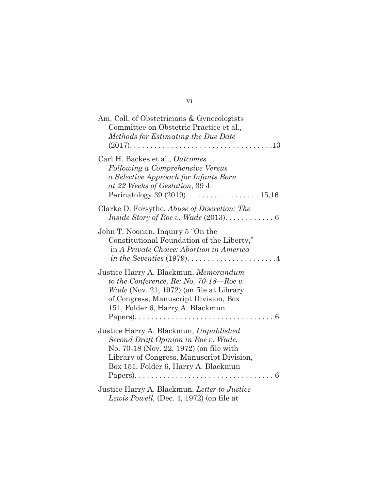| Am. Coll. of Obstetricians & Gynecologists<br>Committee on Obstetric Practice et al.,<br>Methods for Estimating the Due Date<br>$\ldots$ 13                                                                          |
|----------------------------------------------------------------------------------------------------------------------------------------------------------------------------------------------------------------------|
| Carl H. Backes et al., Outcomes<br>Following a Comprehensive Versus<br>a Selective Approach for Infants Born<br>at 22 Weeks of Gestation, 39 J.                                                                      |
| Clarke D. Forsythe, Abuse of Discretion: The                                                                                                                                                                         |
| John T. Noonan, Inquiry 5 "On the<br>Constitutional Foundation of the Liberty,"<br>in A Private Choice: Abortion in America<br>in the Seventies $(1979)$ 4                                                           |
| Justice Harry A. Blackmun, Memorandum<br>to the Conference, $Re: No. 70-18$ — $Roe$ v.<br>Wade (Nov. 21, 1972) (on file at Library<br>of Congress, Manuscript Division, Box<br>151, Folder 6, Harry A. Blackmun<br>6 |
| Justice Harry A. Blackmun, Unpublished<br>Second Draft Opinion in Roe v. Wade,<br>No. 70-18 (Nov. 22, 1972) (on file with<br>Library of Congress, Manuscript Division,<br>Box 151, Folder 6, Harry A. Blackmun<br>6  |
| Justice Harry A. Blackmun, Letter to Justice<br>Lewis Powell, (Dec. 4, 1972) (on file at                                                                                                                             |

## vi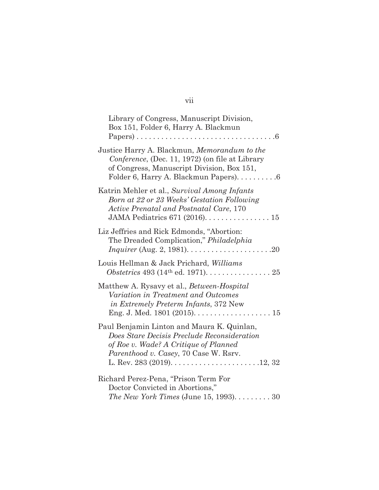| Library of Congress, Manuscript Division,<br>Box 151, Folder 6, Harry A. Blackmun                                                                                                                                                                           |  |
|-------------------------------------------------------------------------------------------------------------------------------------------------------------------------------------------------------------------------------------------------------------|--|
| Justice Harry A. Blackmun, Memorandum to the<br>Conference, (Dec. 11, 1972) (on file at Library<br>of Congress, Manuscript Division, Box 151,<br>Folder 6, Harry A. Blackmun Papers). 6                                                                     |  |
| Katrin Mehler et al., Survival Among Infants<br>Born at 22 or 23 Weeks' Gestation Following<br>Active Prenatal and Postnatal Care, 170                                                                                                                      |  |
| Liz Jeffries and Rick Edmonds, "Abortion:<br>The Dreaded Complication," Philadelphia                                                                                                                                                                        |  |
| Louis Hellman & Jack Prichard, Williams                                                                                                                                                                                                                     |  |
| Matthew A. Rysavy et al., <i>Between-Hospital</i><br>Variation in Treatment and Outcomes<br><i>in Extremely Preterm Infants, 372 New</i>                                                                                                                    |  |
| Paul Benjamin Linton and Maura K. Quinlan,<br>Does Stare Decisis Preclude Reconsideration<br>of Roe v. Wade? A Critique of Planned<br>Parenthood v. Casey, 70 Case W. Rsrv.<br>L. Rev. 283 (2019). $\dots \dots \dots \dots \dots \dots \dots \dots 12, 32$ |  |
| Richard Perez-Pena, "Prison Term For<br>Doctor Convicted in Abortions,"<br>The New York Times (June 15, 1993). 30                                                                                                                                           |  |

# vii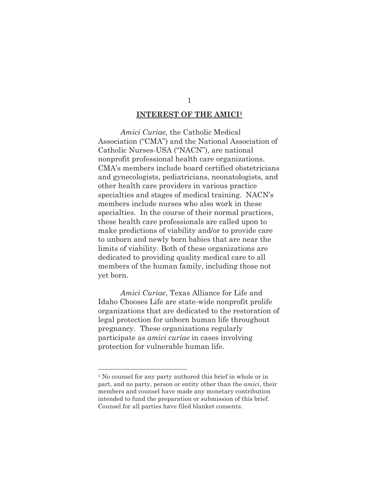#### **INTEREST OF THE AMICI1**

*Amici Curiae,* the Catholic Medical Association ("CMA") and the National Association of Catholic Nurses-USA ("NACN"), are national nonprofit professional health care organizations. CMA's members include board certified obstetricians and gynecologists, pediatricians, neonatologists, and other health care providers in various practice specialties and stages of medical training. NACN's members include nurses who also work in these specialties. In the course of their normal practices, these health care professionals are called upon to make predictions of viability and/or to provide care to unborn and newly born babies that are near the limits of viability. Both of these organizations are dedicated to providing quality medical care to all members of the human family, including those not yet born.

*Amici Curiae*, Texas Alliance for Life and Idaho Chooses Life are state-wide nonprofit prolife organizations that are dedicated to the restoration of legal protection for unborn human life throughout pregnancy. These organizations regularly participate as *amici curiae* in cases involving protection for vulnerable human life.

<sup>&</sup>lt;sup>1</sup> No counsel for any party authored this brief in whole or in part, and no party, person or entity other than the *amici*, their members and counsel have made any monetary contribution intended to fund the preparation or submission of this brief. Counsel for all parties have filed blanket consents.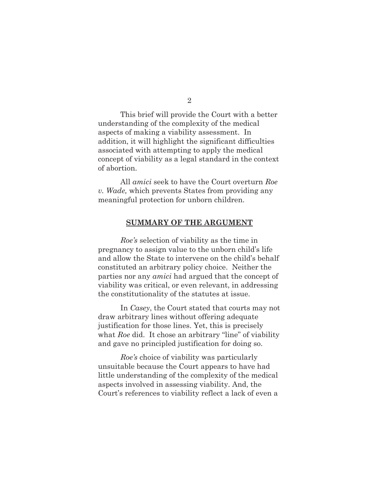2

 This brief will provide the Court with a better understanding of the complexity of the medical aspects of making a viability assessment. In addition, it will highlight the significant difficulties associated with attempting to apply the medical concept of viability as a legal standard in the context of abortion.

 All *amici* seek to have the Court overturn *Roe v. Wade,* which prevents States from providing any meaningful protection for unborn children.

#### **SUMMARY OF THE ARGUMENT**

*Roe's* selection of viability as the time in pregnancy to assign value to the unborn child's life and allow the State to intervene on the child's behalf constituted an arbitrary policy choice. Neither the parties nor any *amici* had argued that the concept of viability was critical, or even relevant, in addressing the constitutionality of the statutes at issue.

 In *Casey*, the Court stated that courts may not draw arbitrary lines without offering adequate justification for those lines. Yet, this is precisely what *Roe* did. It chose an arbitrary "line" of viability and gave no principled justification for doing so.

*Roe's* choice of viability was particularly unsuitable because the Court appears to have had little understanding of the complexity of the medical aspects involved in assessing viability. And, the Court's references to viability reflect a lack of even a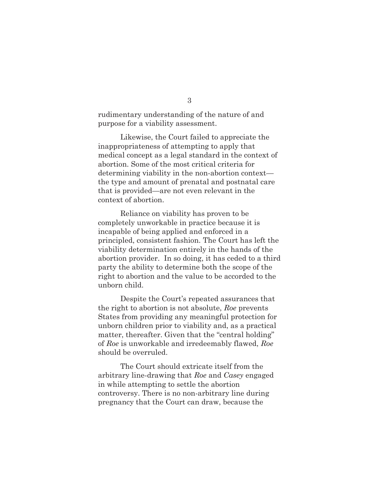rudimentary understanding of the nature of and purpose for a viability assessment.

 Likewise, the Court failed to appreciate the inappropriateness of attempting to apply that medical concept as a legal standard in the context of abortion. Some of the most critical criteria for determining viability in the non-abortion context the type and amount of prenatal and postnatal care that is provided—are not even relevant in the context of abortion.

 Reliance on viability has proven to be completely unworkable in practice because it is incapable of being applied and enforced in a principled, consistent fashion. The Court has left the viability determination entirely in the hands of the abortion provider. In so doing, it has ceded to a third party the ability to determine both the scope of the right to abortion and the value to be accorded to the unborn child.

 Despite the Court's repeated assurances that the right to abortion is not absolute, *Roe* prevents States from providing any meaningful protection for unborn children prior to viability and, as a practical matter, thereafter. Given that the "central holding" of *Roe* is unworkable and irredeemably flawed, *Roe* should be overruled.

 The Court should extricate itself from the arbitrary line-drawing that *Roe* and *Casey* engaged in while attempting to settle the abortion controversy. There is no non-arbitrary line during pregnancy that the Court can draw, because the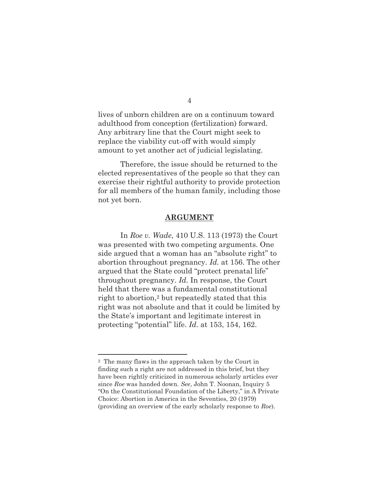lives of unborn children are on a continuum toward adulthood from conception (fertilization) forward. Any arbitrary line that the Court might seek to replace the viability cut-off with would simply amount to yet another act of judicial legislating.

 Therefore, the issue should be returned to the elected representatives of the people so that they can exercise their rightful authority to provide protection for all members of the human family, including those not yet born.

#### **ARGUMENT**

 In *Roe v. Wade*, 410 U.S. 113 (1973) the Court was presented with two competing arguments. One side argued that a woman has an "absolute right" to abortion throughout pregnancy. *Id.* at 156. The other argued that the State could "protect prenatal life" throughout pregnancy. *Id.* In response, the Court held that there was a fundamental constitutional right to abortion,2 but repeatedly stated that this right was not absolute and that it could be limited by the State's important and legitimate interest in protecting "potential" life. *Id.* at 153, 154, 162.

<sup>2</sup> The many flaws in the approach taken by the Court in finding such a right are not addressed in this brief, but they have been rightly criticized in numerous scholarly articles ever since *Roe* was handed down. *See*, John T. Noonan, Inquiry 5 "On the Constitutional Foundation of the Liberty," in A Private Choice: Abortion in America in the Seventies, 20 (1979) (providing an overview of the early scholarly response to *Roe*).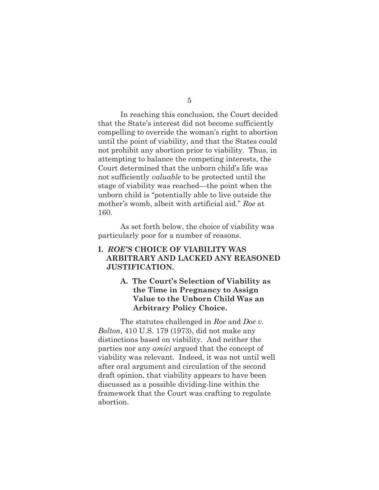5

 In reaching this conclusion, the Court decided that the State's interest did not become sufficiently compelling to override the woman's right to abortion until the point of viability, and that the States could not prohibit any abortion prior to viability. Thus, in attempting to balance the competing interests, the Court determined that the unborn child's life was not sufficiently *valuable* to be protected until the stage of viability was reached—the point when the unborn child is "potentially able to live outside the mother's womb, albeit with artificial aid." *Roe* at 160.

 As set forth below, the choice of viability was particularly poor for a number of reasons.

## **I.** *ROE'S* **CHOICE OF VIABILITY WAS ARBITRARY AND LACKED ANY REASONED JUSTIFICATION.**

## **A. The Court's Selection of Viability as the Time in Pregnancy to Assign Value to the Unborn Child Was an Arbitrary Policy Choice.**

 The statutes challenged in *Roe* and *Doe v. Bolton*, 410 U.S. 179 (1973), did not make any distinctions based on viability. And neither the parties nor any *amici* argued that the concept of viability was relevant. Indeed, it was not until well after oral argument and circulation of the second draft opinion, that viability appears to have been discussed as a possible dividing-line within the framework that the Court was crafting to regulate abortion.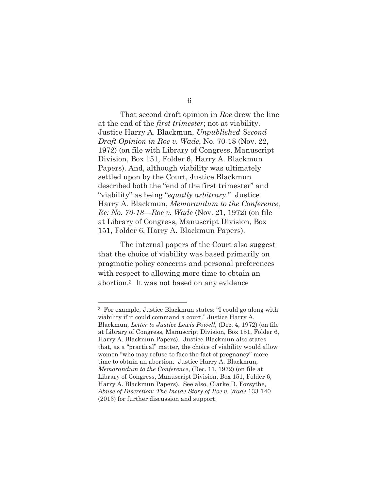6

 That second draft opinion in *Roe* drew the line at the end of the *first trimester*; not at viability. Justice Harry A. Blackmun, *Unpublished Second Draft Opinion in Roe v. Wade*, No. 70-18 (Nov. 22, 1972) (on file with Library of Congress, Manuscript Division, Box 151, Folder 6, Harry A. Blackmun Papers). And, although viability was ultimately settled upon by the Court, Justice Blackmun described both the "end of the first trimester" and "viability" as being "*equally arbitrary*." Justice Harry A. Blackmun, *Memorandum to the Conference, Re: No. 70-18—Roe v. Wade* (Nov. 21, 1972) (on file at Library of Congress, Manuscript Division, Box 151, Folder 6, Harry A. Blackmun Papers).

 The internal papers of the Court also suggest that the choice of viability was based primarily on pragmatic policy concerns and personal preferences with respect to allowing more time to obtain an abortion.3 It was not based on any evidence

<sup>3</sup> For example, Justice Blackmun states: "I could go along with viability if it could command a court." Justice Harry A. Blackmun, *Letter to Justice Lewis Powell,* (Dec. 4, 1972) (on file at Library of Congress, Manuscript Division, Box 151, Folder 6, Harry A. Blackmun Papers). Justice Blackmun also states that, as a "practical" matter, the choice of viability would allow women "who may refuse to face the fact of pregnancy" more time to obtain an abortion. Justice Harry A. Blackmun, *Memorandum to the Conference*, (Dec. 11, 1972) (on file at Library of Congress, Manuscript Division, Box 151, Folder 6, Harry A. Blackmun Papers). See also, Clarke D. Forsythe, *Abuse of Discretion: The Inside Story of Roe v. Wade* 133-140 (2013) for further discussion and support.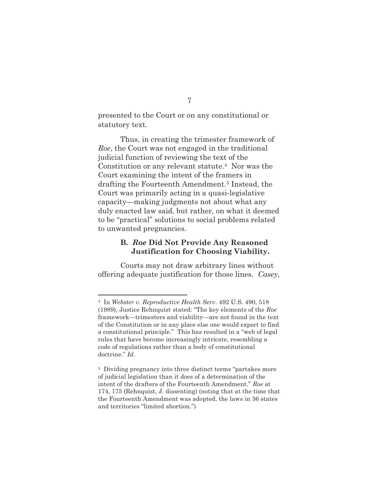presented to the Court or on any constitutional or statutory text.

 Thus, in creating the trimester framework of *Roe*, the Court was not engaged in the traditional judicial function of reviewing the text of the Constitution or any relevant statute.4 Nor was the Court examining the intent of the framers in drafting the Fourteenth Amendment.5 Instead, the Court was primarily acting in a quasi-legislative capacity—making judgments not about what any duly enacted law said, but rather, on what it deemed to be "practical" solutions to social problems related to unwanted pregnancies.

#### **B.** *Roe* **Did Not Provide Any Reasoned Justification for Choosing Viability.**

Courts may not draw arbitrary lines without offering adequate justification for those lines. *Casey,*

<sup>4</sup> In *Webster v. Reproductive Health Serv*. 492 U.S. 490, 518 (1989), Justice Rehnquist stated: "The key elements of the *Roe* framework—trimesters and viability—are not found in the text of the Constitution or in any place else one would expect to find a constitutional principle." This has resulted in a "web of legal rules that have become increasingly intricate, resembling a code of regulations rather than a body of constitutional doctrine." *Id.* 

<sup>5</sup> Dividing pregnancy into three distinct terms "partakes more of judicial legislation than it does of a determination of the intent of the drafters of the Fourteenth Amendment." *Roe* at 174, 175 (Rehnquist, J. dissenting) (noting that at the time that the Fourteenth Amendment was adopted, the laws in 36 states and territories "limited abortion.")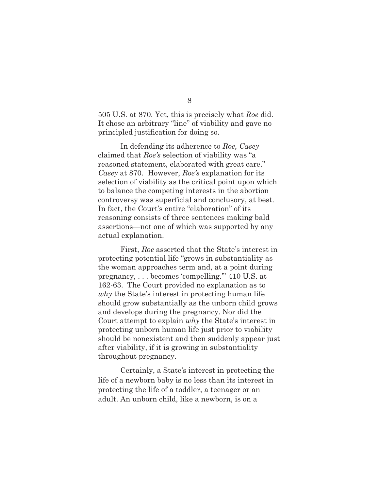505 U.S. at 870. Yet, this is precisely what *Roe* did. It chose an arbitrary "line" of viability and gave no principled justification for doing so.

 In defending its adherence to *Roe, Casey* claimed that *Roe's* selection of viability was "a reasoned statement, elaborated with great care." *Casey* at 870*.* However, *Roe's* explanation for its selection of viability as the critical point upon which to balance the competing interests in the abortion controversy was superficial and conclusory, at best. In fact, the Court's entire "elaboration" of its reasoning consists of three sentences making bald assertions—not one of which was supported by any actual explanation.

First, *Roe* asserted that the State's interest in protecting potential life "grows in substantiality as the woman approaches term and, at a point during pregnancy, . . . becomes 'compelling.'" 410 U.S. at 162-63. The Court provided no explanation as to *why* the State's interest in protecting human life should grow substantially as the unborn child grows and develops during the pregnancy. Nor did the Court attempt to explain *why* the State's interest in protecting unborn human life just prior to viability should be nonexistent and then suddenly appear just after viability, if it is growing in substantiality throughout pregnancy.

 Certainly, a State's interest in protecting the life of a newborn baby is no less than its interest in protecting the life of a toddler, a teenager or an adult. An unborn child, like a newborn, is on a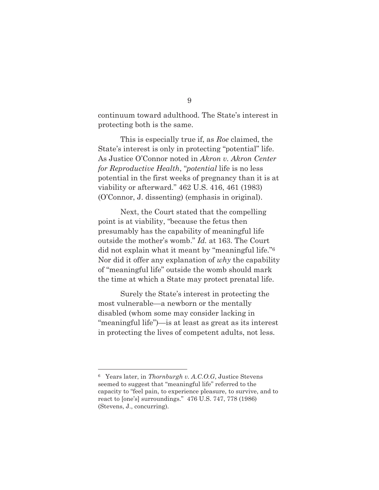continuum toward adulthood. The State's interest in protecting both is the same.

 This is especially true if, as *Roe* claimed, the State's interest is only in protecting "potential" life. As Justice O'Connor noted in *Akron v. Akron Center for Reproductive Health*, "*potential* life is no less potential in the first weeks of pregnancy than it is at viability or afterward." 462 U.S. 416, 461 (1983) (O'Connor, J. dissenting) (emphasis in original).

 Next, the Court stated that the compelling point is at viability, "because the fetus then presumably has the capability of meaningful life outside the mother's womb." *Id.* at 163. The Court did not explain what it meant by "meaningful life."6 Nor did it offer any explanation of *why* the capability of "meaningful life" outside the womb should mark the time at which a State may protect prenatal life.

 Surely the State's interest in protecting the most vulnerable—a newborn or the mentally disabled (whom some may consider lacking in "meaningful life")—is at least as great as its interest in protecting the lives of competent adults, not less.

<sup>6</sup> Years later, in *Thornburgh v. A.C.O.G*, Justice Stevens seemed to suggest that "meaningful life" referred to the capacity to "feel pain, to experience pleasure, to survive, and to react to [one's] surroundings." 476 U.S. 747, 778 (1986) (Stevens, J., concurring).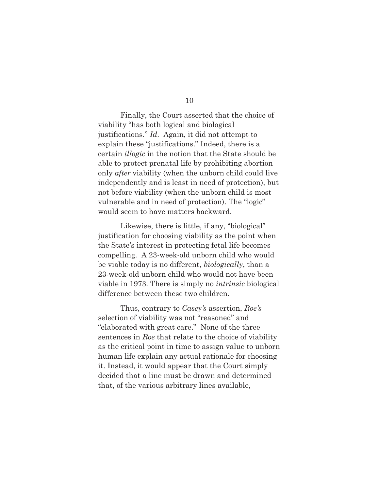10

 Finally, the Court asserted that the choice of viability "has both logical and biological justifications." *Id*. Again, it did not attempt to explain these "justifications." Indeed, there is a certain *illogic* in the notion that the State should be able to protect prenatal life by prohibiting abortion only *after* viability (when the unborn child could live independently and is least in need of protection), but not before viability (when the unborn child is most vulnerable and in need of protection). The "logic" would seem to have matters backward.

 Likewise, there is little, if any, "biological" justification for choosing viability as the point when the State's interest in protecting fetal life becomes compelling. A 23-week-old unborn child who would be viable today is no different, *biologically*, than a 23-week-old unborn child who would not have been viable in 1973. There is simply no *intrinsic* biological difference between these two children.

 Thus, contrary to *Casey's* assertion, *Roe's* selection of viability was not "reasoned" and "elaborated with great care." None of the three sentences in *Roe* that relate to the choice of viability as the critical point in time to assign value to unborn human life explain any actual rationale for choosing it. Instead, it would appear that the Court simply decided that a line must be drawn and determined that, of the various arbitrary lines available,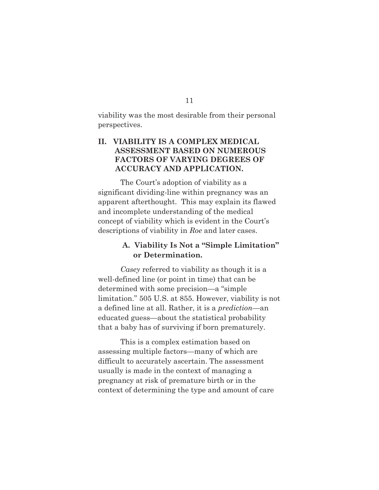viability was the most desirable from their personal perspectives.

## **II. VIABILITY IS A COMPLEX MEDICAL ASSESSMENT BASED ON NUMEROUS FACTORS OF VARYING DEGREES OF ACCURACY AND APPLICATION.**

 The Court's adoption of viability as a significant dividing-line within pregnancy was an apparent afterthought. This may explain its flawed and incomplete understanding of the medical concept of viability which is evident in the Court's descriptions of viability in *Roe* and later cases.

## **A. Viability Is Not a "Simple Limitation" or Determination.**

 *Casey* referred to viability as though it is a well-defined line (or point in time) that can be determined with some precision—a "simple limitation." 505 U.S. at 855. However, viability is not a defined line at all. Rather, it is a *prediction*—an educated guess—about the statistical probability that a baby has of surviving if born prematurely.

 This is a complex estimation based on assessing multiple factors—many of which are difficult to accurately ascertain. The assessment usually is made in the context of managing a pregnancy at risk of premature birth or in the context of determining the type and amount of care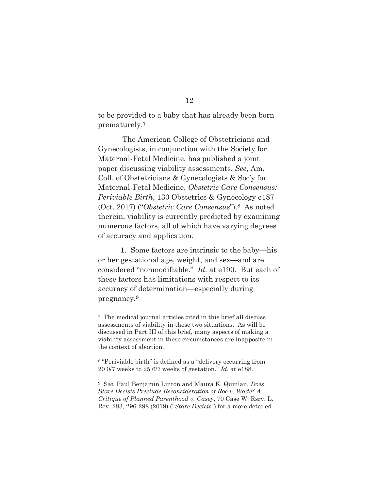to be provided to a baby that has already been born prematurely.7

 The American College of Obstetricians and Gynecologists, in conjunction with the Society for Maternal-Fetal Medicine, has published a joint paper discussing viability assessments. *See*, Am. Coll. of Obstetricians & Gynecologists & Soc'y for Maternal-Fetal Medicine, *Obstetric Care Consensus: Periviable Birth*, 130 Obstetrics & Gynecology e187 (Oct. 2017) ("*Obstetric Care Consensus*").8 As noted therein, viability is currently predicted by examining numerous factors, all of which have varying degrees of accuracy and application.

 1. Some factors are intrinsic to the baby—his or her gestational age, weight, and sex—and are considered "nonmodifiable." *Id*. at e190. But each of these factors has limitations with respect to its accuracy of determination—especially during pregnancy.9

<sup>7</sup> The medical journal articles cited in this brief all discuss assessments of viability in these two situations. As will be discussed in Part III of this brief, many aspects of making a viability assessment in these circumstances are inapposite in the context of abortion.

<sup>8 &</sup>quot;Periviable birth" is defined as a "delivery occurring from 20 0/7 weeks to 25 6/7 weeks of gestation." *Id*. at e188.

<sup>9</sup> S*ee*, Paul Benjamin Linton and Maura K. Quinlan, *Does Stare Decisis Preclude Reconsideration of Roe v. Wade? A Critique of Planned Parenthood v. Casey*, 70 Case W. Rsrv. L. Rev. 283, 296-298 (2019) ("*Stare Decisis"*) for a more detailed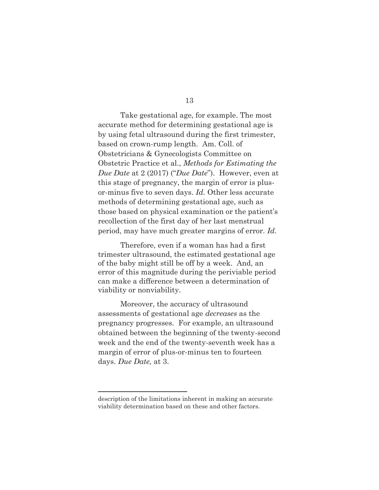13

 Take gestational age, for example. The most accurate method for determining gestational age is by using fetal ultrasound during the first trimester, based on crown-rump length. Am. Coll. of Obstetricians & Gynecologists Committee on Obstetric Practice et al., *Methods for Estimating the Due Date* at 2 (2017) ("*Due Date*"). However, even at this stage of pregnancy, the margin of error is plusor-minus five to seven days. *Id.* Other less accurate methods of determining gestational age, such as those based on physical examination or the patient's recollection of the first day of her last menstrual period, may have much greater margins of error. *Id.*

 Therefore, even if a woman has had a first trimester ultrasound, the estimated gestational age of the baby might still be off by a week. And, an error of this magnitude during the periviable period can make a difference between a determination of viability or nonviability.

 Moreover, the accuracy of ultrasound assessments of gestational age *decreases* as the pregnancy progresses. For example, an ultrasound obtained between the beginning of the twenty-second week and the end of the twenty-seventh week has a margin of error of plus-or-minus ten to fourteen days. *Due Date,* at 3.

description of the limitations inherent in making an accurate viability determination based on these and other factors.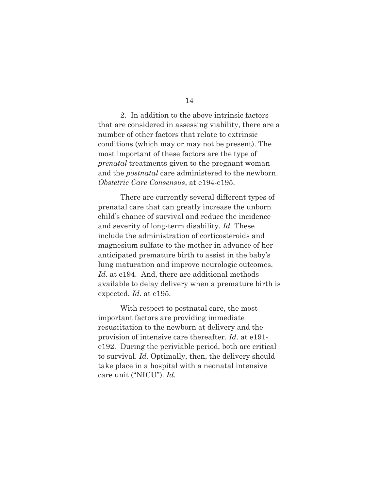14

 2. In addition to the above intrinsic factors that are considered in assessing viability, there are a number of other factors that relate to extrinsic conditions (which may or may not be present). The most important of these factors are the type of *prenatal* treatments given to the pregnant woman and the *postnatal* care administered to the newborn. *Obstetric Care Consensus*, at e194-e195.

 There are currently several different types of prenatal care that can greatly increase the unborn child's chance of survival and reduce the incidence and severity of long-term disability. *Id.* These include the administration of corticosteroids and magnesium sulfate to the mother in advance of her anticipated premature birth to assist in the baby's lung maturation and improve neurologic outcomes. *Id.* at e194. And, there are additional methods available to delay delivery when a premature birth is expected. *Id.* at e195.

 With respect to postnatal care, the most important factors are providing immediate resuscitation to the newborn at delivery and the provision of intensive care thereafter. *Id*. at e191 e192. During the periviable period, both are critical to survival. *Id.* Optimally, then, the delivery should take place in a hospital with a neonatal intensive care unit ("NICU"). *Id.*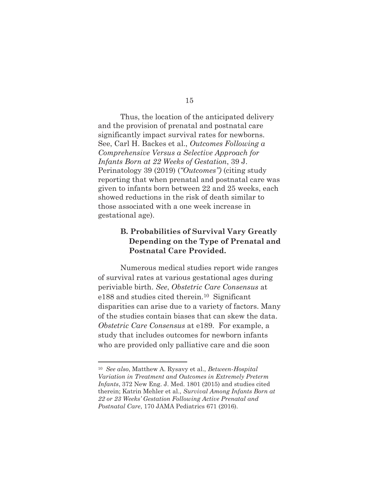Thus, the location of the anticipated delivery and the provision of prenatal and postnatal care significantly impact survival rates for newborns. See, Carl H. Backes et al., *Outcomes Following a Comprehensive Versus a Selective Approach for Infants Born at 22 Weeks of Gestation*, 39 J. Perinatology 39 (2019) (*"Outcomes")* (citing study reporting that when prenatal and postnatal care was given to infants born between 22 and 25 weeks, each showed reductions in the risk of death similar to those associated with a one week increase in gestational age).

## **B. Probabilities of Survival Vary Greatly Depending on the Type of Prenatal and Postnatal Care Provided.**

 Numerous medical studies report wide ranges of survival rates at various gestational ages during periviable birth. *See*, *Obstetric Care Consensus* at e188 and studies cited therein.10 Significant disparities can arise due to a variety of factors. Many of the studies contain biases that can skew the data. *Obstetric Care Consensus* at e189. For example, a study that includes outcomes for newborn infants who are provided only palliative care and die soon

<sup>10</sup> *See also*, Matthew A. Rysavy et al., *Between-Hospital Variation in Treatment and Outcomes in Extremely Preterm Infants*, 372 New Eng. J. Med. 1801 (2015) and studies cited therein; Katrin Mehler et al., *Survival Among Infants Born at 22 or 23 Weeks' Gestation Following Active Prenatal and Postnatal Care*, 170 JAMA Pediatrics 671 (2016).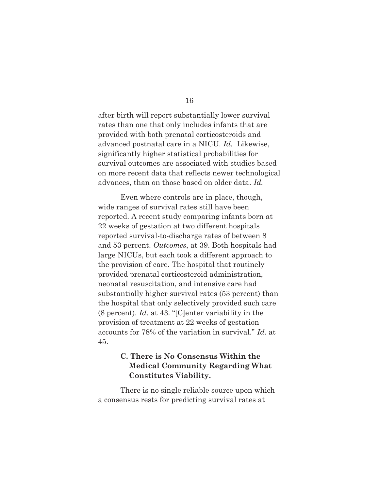after birth will report substantially lower survival rates than one that only includes infants that are provided with both prenatal corticosteroids and advanced postnatal care in a NICU. *Id.* Likewise, significantly higher statistical probabilities for survival outcomes are associated with studies based on more recent data that reflects newer technological advances, than on those based on older data. *Id.*

 Even where controls are in place, though, wide ranges of survival rates still have been reported. A recent study comparing infants born at 22 weeks of gestation at two different hospitals reported survival-to-discharge rates of between 8 and 53 percent. *Outcomes*, at 39. Both hospitals had large NICUs, but each took a different approach to the provision of care. The hospital that routinely provided prenatal corticosteroid administration, neonatal resuscitation, and intensive care had substantially higher survival rates (53 percent) than the hospital that only selectively provided such care (8 percent). *Id.* at 43. "[C]enter variability in the provision of treatment at 22 weeks of gestation accounts for 78% of the variation in survival." *Id.* at 45.

## **C. There is No Consensus Within the Medical Community Regarding What Constitutes Viability.**

 There is no single reliable source upon which a consensus rests for predicting survival rates at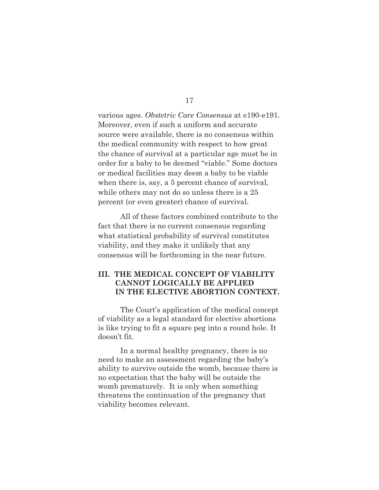various ages. *Obstetric Care Consensus* at e190-e191. Moreover, even if such a uniform and accurate source were available, there is no consensus within the medical community with respect to how great the chance of survival at a particular age must be in order for a baby to be deemed "viable." Some doctors or medical facilities may deem a baby to be viable when there is, say, a 5 percent chance of survival, while others may not do so unless there is a 25 percent (or even greater) chance of survival.

 All of these factors combined contribute to the fact that there is no current consensus regarding what statistical probability of survival constitutes viability, and they make it unlikely that any consensus will be forthcoming in the near future.

## **III. THE MEDICAL CONCEPT OF VIABILITY CANNOT LOGICALLY BE APPLIED IN THE ELECTIVE ABORTION CONTEXT.**

 The Court's application of the medical concept of viability as a legal standard for elective abortions is like trying to fit a square peg into a round hole. It doesn't fit.

 In a normal healthy pregnancy, there is no need to make an assessment regarding the baby's ability to survive outside the womb, because there is no expectation that the baby will be outside the womb prematurely. It is only when something threatens the continuation of the pregnancy that viability becomes relevant.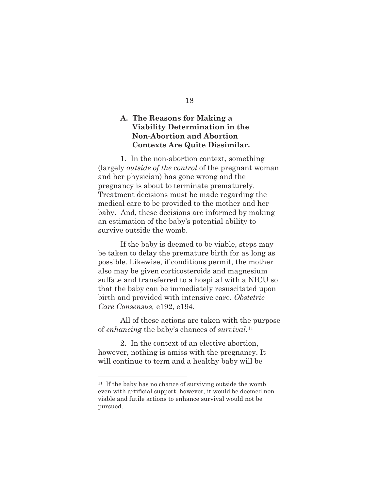## **A. The Reasons for Making a Viability Determination in the Non-Abortion and Abortion Contexts Are Quite Dissimilar.**

 1. In the non-abortion context, something (largely *outside of the control* of the pregnant woman and her physician) has gone wrong and the pregnancy is about to terminate prematurely. Treatment decisions must be made regarding the medical care to be provided to the mother and her baby. And, these decisions are informed by making an estimation of the baby's potential ability to survive outside the womb.

 If the baby is deemed to be viable, steps may be taken to delay the premature birth for as long as possible. Likewise, if conditions permit, the mother also may be given corticosteroids and magnesium sulfate and transferred to a hospital with a NICU so that the baby can be immediately resuscitated upon birth and provided with intensive care. *Obstetric Care Consensus,* e192, e194.

 All of these actions are taken with the purpose of *enhancing* the baby's chances of *survival*.11

 2. In the context of an elective abortion, however, nothing is amiss with the pregnancy. It will continue to term and a healthy baby will be

<sup>11</sup> If the baby has no chance of surviving outside the womb even with artificial support, however, it would be deemed nonviable and futile actions to enhance survival would not be pursued.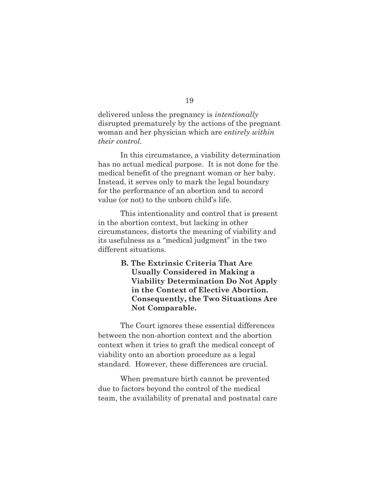delivered unless the pregnancy is *intentionally* disrupted prematurely by the actions of the pregnant woman and her physician which are *entirely within their control.*

 In this circumstance, a viability determination has no actual medical purpose. It is not done for the medical benefit of the pregnant woman or her baby. Instead, it serves only to mark the legal boundary for the performance of an abortion and to accord value (or not) to the unborn child's life.

 This intentionality and control that is present in the abortion context, but lacking in other circumstances, distorts the meaning of viability and its usefulness as a "medical judgment" in the two different situations.

> **B. The Extrinsic Criteria That Are Usually Considered in Making a Viability Determination Do Not Apply in the Context of Elective Abortion. Consequently, the Two Situations Are Not Comparable.**

 The Court ignores these essential differences between the non-abortion context and the abortion context when it tries to graft the medical concept of viability onto an abortion procedure as a legal standard. However, these differences are crucial.

 When premature birth cannot be prevented due to factors beyond the control of the medical team, the availability of prenatal and postnatal care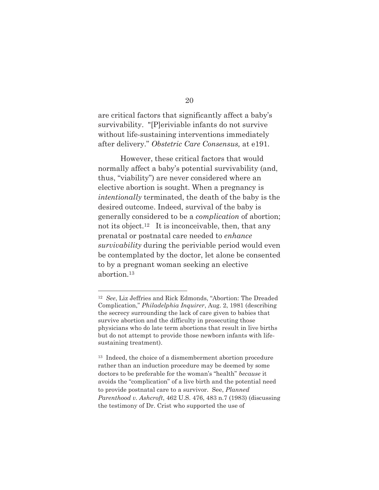are critical factors that significantly affect a baby's survivability. "[P]eriviable infants do not survive without life-sustaining interventions immediately after delivery." *Obstetric Care Consensus,* at e191.

 However, these critical factors that would normally affect a baby's potential survivability (and, thus, "viability") are never considered where an elective abortion is sought. When a pregnancy is *intentionally* terminated, the death of the baby is the desired outcome. Indeed, survival of the baby is generally considered to be a *complication* of abortion; not its object.<sup>12</sup> It is inconceivable, then, that any prenatal or postnatal care needed to *enhance survivability* during the periviable period would even be contemplated by the doctor, let alone be consented to by a pregnant woman seeking an elective abortion.13

<sup>12</sup> *See*, Liz Jeffries and Rick Edmonds, "Abortion: The Dreaded Complication," *Philadelphia Inquirer*, Aug. 2, 1981 (describing the secrecy surrounding the lack of care given to babies that survive abortion and the difficulty in prosecuting those physicians who do late term abortions that result in live births but do not attempt to provide those newborn infants with lifesustaining treatment).

<sup>&</sup>lt;sup>13</sup> Indeed, the choice of a dismemberment abortion procedure rather than an induction procedure may be deemed by some doctors to be preferable for the woman's "health" *because* it avoids the "complication" of a live birth and the potential need to provide postnatal care to a survivor. See, *Planned Parenthood v. Ashcroft*, 462 U.S. 476, 483 n.7 (1983) (discussing the testimony of Dr. Crist who supported the use of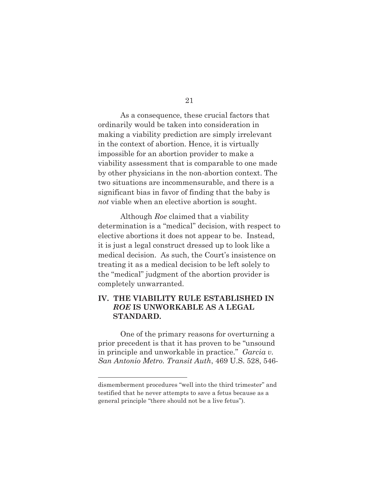As a consequence, these crucial factors that ordinarily would be taken into consideration in making a viability prediction are simply irrelevant in the context of abortion. Hence, it is virtually impossible for an abortion provider to make a viability assessment that is comparable to one made by other physicians in the non-abortion context. The two situations are incommensurable, and there is a significant bias in favor of finding that the baby is *not* viable when an elective abortion is sought.

 Although *Roe* claimed that a viability determination is a "medical" decision, with respect to elective abortions it does not appear to be. Instead, it is just a legal construct dressed up to look like a medical decision. As such, the Court's insistence on treating it as a medical decision to be left solely to the "medical" judgment of the abortion provider is completely unwarranted.

## **IV. THE VIABILITY RULE ESTABLISHED IN** *ROE* **IS UNWORKABLE AS A LEGAL STANDARD.**

One of the primary reasons for overturning a prior precedent is that it has proven to be "unsound in principle and unworkable in practice." *Garcia v. San Antonio Metro. Transit Auth*, 469 U.S. 528, 546-

dismemberment procedures "well into the third trimester" and testified that he never attempts to save a fetus because as a general principle "there should not be a live fetus").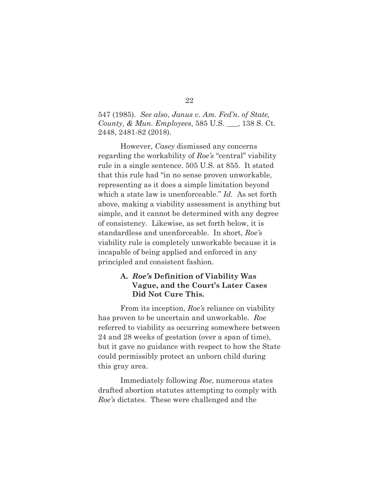547 (1985). *See also*, *Janus v. Am. Fed'n. of State, County, & Mun. Employees*, 585 U.S. \_\_\_, 138 S. Ct. 2448, 2481-82 (2018).

 However, *Casey* dismissed any concerns regarding the workability of *Roe's* "central" viability rule in a single sentence. 505 U.S. at 855. It stated that this rule had "in no sense proven unworkable, representing as it does a simple limitation beyond which a state law is unenforceable." *Id.* As set forth above, making a viability assessment is anything but simple, and it cannot be determined with any degree of consistency. Likewise, as set forth below, it is standardless and unenforceable. In short, *Roe's* viability rule is completely unworkable because it is incapable of being applied and enforced in any principled and consistent fashion.

## **A.** *Roe's* **Definition of Viability Was**  **Vague, and the Court's Later Cases Did Not Cure This.**

 From its inception, *Roe's* reliance on viability has proven to be uncertain and unworkable. *Roe* referred to viability as occurring somewhere between 24 and 28 weeks of gestation (over a span of time), but it gave no guidance with respect to how the State could permissibly protect an unborn child during this gray area.

 Immediately following *Roe*, numerous states drafted abortion statutes attempting to comply with *Roe's* dictates. These were challenged and the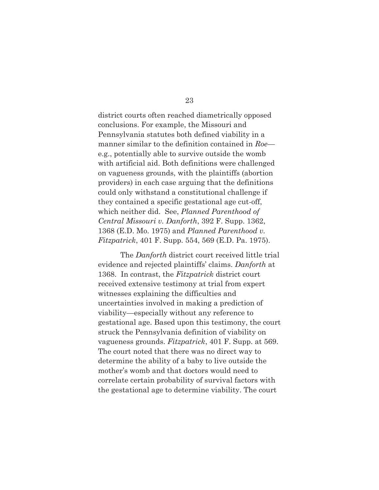district courts often reached diametrically opposed conclusions. For example, the Missouri and Pennsylvania statutes both defined viability in a manner similar to the definition contained in *Roe* e.g., potentially able to survive outside the womb with artificial aid. Both definitions were challenged on vagueness grounds, with the plaintiffs (abortion providers) in each case arguing that the definitions could only withstand a constitutional challenge if they contained a specific gestational age cut-off, which neither did. See, *Planned Parenthood of Central Missouri v. Danforth*, 392 F. Supp. 1362, 1368 (E.D. Mo. 1975) and *Planned Parenthood v. Fitzpatrick*, 401 F. Supp. 554, 569 (E.D. Pa. 1975).

 The *Danforth* district court received little trial evidence and rejected plaintiffs' claims. *Danforth* at 1368. In contrast, the *Fitzpatrick* district court received extensive testimony at trial from expert witnesses explaining the difficulties and uncertainties involved in making a prediction of viability—especially without any reference to gestational age. Based upon this testimony, the court struck the Pennsylvania definition of viability on vagueness grounds. *Fitzpatrick*, 401 F. Supp. at 569. The court noted that there was no direct way to determine the ability of a baby to live outside the mother's womb and that doctors would need to correlate certain probability of survival factors with the gestational age to determine viability. The court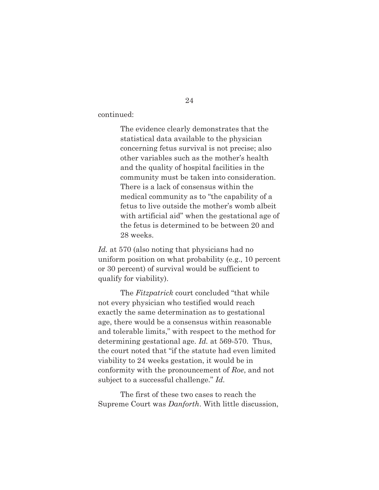continued:

 The evidence clearly demonstrates that the statistical data available to the physician concerning fetus survival is not precise; also other variables such as the mother's health and the quality of hospital facilities in the community must be taken into consideration. There is a lack of consensus within the medical community as to "the capability of a fetus to live outside the mother's womb albeit with artificial aid" when the gestational age of the fetus is determined to be between 20 and 28 weeks.

*Id.* at 570 (also noting that physicians had no uniform position on what probability (e.g., 10 percent or 30 percent) of survival would be sufficient to qualify for viability).

 The *Fitzpatrick* court concluded "that while not every physician who testified would reach exactly the same determination as to gestational age, there would be a consensus within reasonable and tolerable limits," with respect to the method for determining gestational age. *Id.* at 569-570. Thus, the court noted that "if the statute had even limited viability to 24 weeks gestation, it would be in conformity with the pronouncement of *Roe*, and not subject to a successful challenge." *Id.*

 The first of these two cases to reach the Supreme Court was *Danforth*. With little discussion,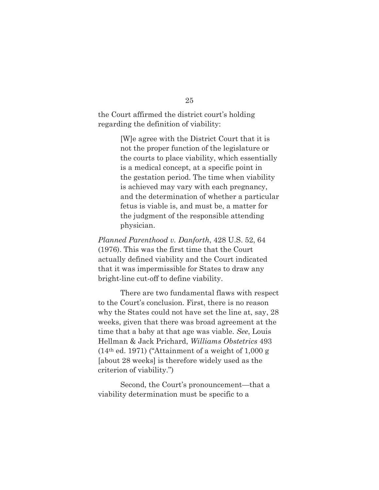the Court affirmed the district court's holding regarding the definition of viability:

> [W]e agree with the District Court that it is not the proper function of the legislature or the courts to place viability, which essentially is a medical concept, at a specific point in the gestation period. The time when viability is achieved may vary with each pregnancy, and the determination of whether a particular fetus is viable is, and must be, a matter for the judgment of the responsible attending physician.

*Planned Parenthood v. Danforth*, 428 U.S. 52, 64 (1976). This was the first time that the Court actually defined viability and the Court indicated that it was impermissible for States to draw any bright-line cut-off to define viability.

 There are two fundamental flaws with respect to the Court's conclusion. First, there is no reason why the States could not have set the line at, say, 28 weeks, given that there was broad agreement at the time that a baby at that age was viable. *See*, Louis Hellman & Jack Prichard, *Williams Obstetrics* 493  $(14<sup>th</sup>$  ed. 1971) ("Attainment of a weight of 1,000 g [about 28 weeks] is therefore widely used as the criterion of viability.")

 Second, the Court's pronouncement—that a viability determination must be specific to a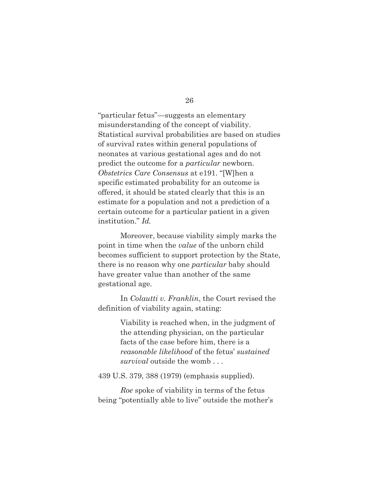"particular fetus"—suggests an elementary misunderstanding of the concept of viability. Statistical survival probabilities are based on studies of survival rates within general populations of neonates at various gestational ages and do not predict the outcome for a *particular* newborn. *Obstetrics Care Consensus* at e191. "[W]hen a specific estimated probability for an outcome is offered, it should be stated clearly that this is an estimate for a population and not a prediction of a certain outcome for a particular patient in a given institution." *Id.* 

Moreover, because viability simply marks the point in time when the *value* of the unborn child becomes sufficient to support protection by the State, there is no reason why one *particular* baby should have greater value than another of the same gestational age.

 In *Colautti v. Franklin*, the Court revised the definition of viability again, stating:

> Viability is reached when, in the judgment of the attending physician, on the particular facts of the case before him, there is a *reasonable likelihood* of the fetus' *sustained survival* outside the womb . . .

439 U.S. 379, 388 (1979) (emphasis supplied).

*Roe* spoke of viability in terms of the fetus being "potentially able to live" outside the mother's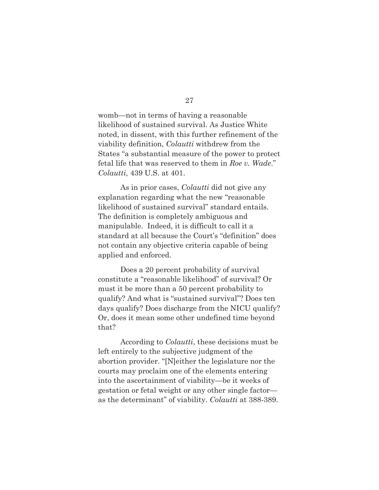womb—not in terms of having a reasonable likelihood of sustained survival. As Justice White noted, in dissent, with this further refinement of the viability definition, *Colautti* withdrew from the States "a substantial measure of the power to protect fetal life that was reserved to them in *Roe v. Wade*." *Colautti,* 439 U.S. at 401.

 As in prior cases, *Colautti* did not give any explanation regarding what the new "reasonable likelihood of sustained survival" standard entails. The definition is completely ambiguous and manipulable. Indeed, it is difficult to call it a standard at all because the Court's "definition" does not contain any objective criteria capable of being applied and enforced.

 Does a 20 percent probability of survival constitute a "reasonable likelihood" of survival? Or must it be more than a 50 percent probability to qualify? And what is "sustained survival"? Does ten days qualify? Does discharge from the NICU qualify? Or, does it mean some other undefined time beyond that?

 According to *Colautti*, these decisions must be left entirely to the subjective judgment of the abortion provider. "[N]either the legislature nor the courts may proclaim one of the elements entering into the ascertainment of viability—be it weeks of gestation or fetal weight or any other single factor as the determinant" of viability. *Colautti* at 388-389.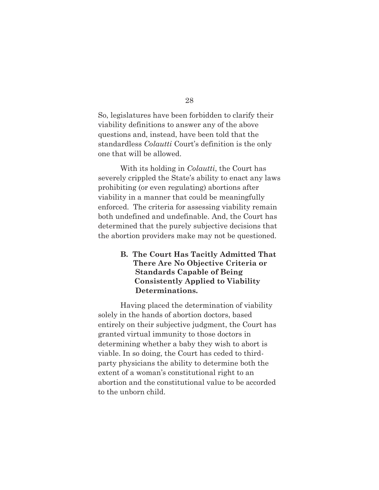So, legislatures have been forbidden to clarify their viability definitions to answer any of the above questions and, instead, have been told that the standardless *Colautti* Court's definition is the only one that will be allowed.

 With its holding in *Colautti*, the Court has severely crippled the State's ability to enact any laws prohibiting (or even regulating) abortions after viability in a manner that could be meaningfully enforced. The criteria for assessing viability remain both undefined and undefinable. And, the Court has determined that the purely subjective decisions that the abortion providers make may not be questioned.

## **B. The Court Has Tacitly Admitted That There Are No Objective Criteria or Standards Capable of Being Consistently Applied to Viability Determinations.**

 Having placed the determination of viability solely in the hands of abortion doctors, based entirely on their subjective judgment, the Court has granted virtual immunity to those doctors in determining whether a baby they wish to abort is viable. In so doing, the Court has ceded to thirdparty physicians the ability to determine both the extent of a woman's constitutional right to an abortion and the constitutional value to be accorded to the unborn child.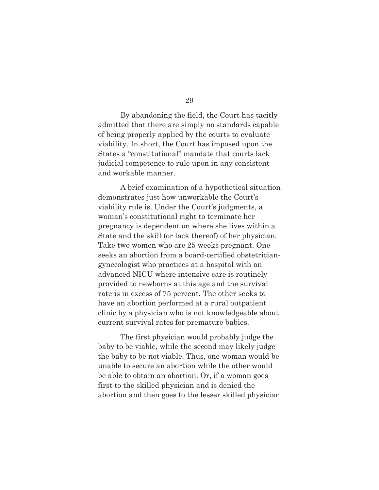29

 By abandoning the field, the Court has tacitly admitted that there are simply no standards capable of being properly applied by the courts to evaluate viability. In short, the Court has imposed upon the States a "constitutional" mandate that courts lack judicial competence to rule upon in any consistent and workable manner.

 A brief examination of a hypothetical situation demonstrates just how unworkable the Court's viability rule is. Under the Court's judgments, a woman's constitutional right to terminate her pregnancy is dependent on where she lives within a State and the skill (or lack thereof) of her physician. Take two women who are 25 weeks pregnant. One seeks an abortion from a board-certified obstetriciangynecologist who practices at a hospital with an advanced NICU where intensive care is routinely provided to newborns at this age and the survival rate is in excess of 75 percent. The other seeks to have an abortion performed at a rural outpatient clinic by a physician who is not knowledgeable about current survival rates for premature babies.

 The first physician would probably judge the baby to be viable, while the second may likely judge the baby to be not viable. Thus, one woman would be unable to secure an abortion while the other would be able to obtain an abortion. Or, if a woman goes first to the skilled physician and is denied the abortion and then goes to the lesser skilled physician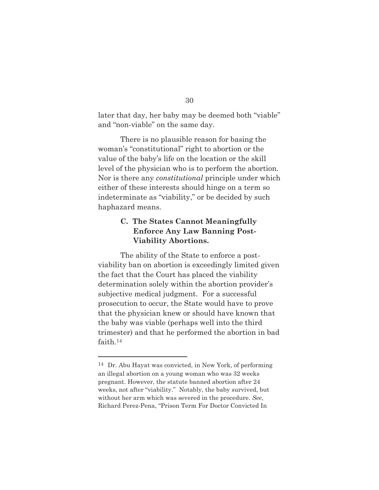later that day, her baby may be deemed both "viable" and "non-viable" on the same day.

 There is no plausible reason for basing the woman's "constitutional" right to abortion or the value of the baby's life on the location or the skill level of the physician who is to perform the abortion. Nor is there any *constitutional* principle under which either of these interests should hinge on a term so indeterminate as "viability," or be decided by such haphazard means.

## **C. The States Cannot Meaningfully Enforce Any Law Banning Post- Viability Abortions.**

 The ability of the State to enforce a postviability ban on abortion is exceedingly limited given the fact that the Court has placed the viability determination solely within the abortion provider's subjective medical judgment. For a successful prosecution to occur, the State would have to prove that the physician knew or should have known that the baby was viable (perhaps well into the third trimester) and that he performed the abortion in bad faith.14

<sup>14</sup> Dr. Abu Hayat was convicted, in New York, of performing an illegal abortion on a young woman who was 32 weeks pregnant. However, the statute banned abortion after 24 weeks, not after "viability." Notably, the baby survived, but without her arm which was severed in the procedure. *See*, Richard Perez-Pena, "Prison Term For Doctor Convicted In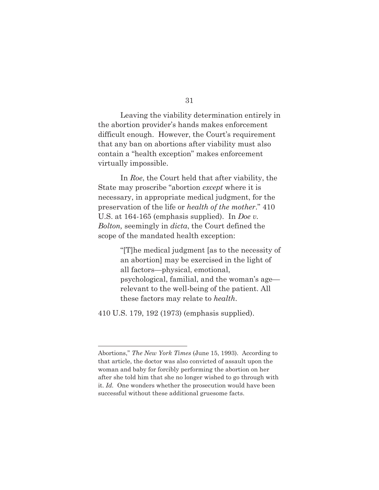Leaving the viability determination entirely in the abortion provider's hands makes enforcement difficult enough. However, the Court's requirement that any ban on abortions after viability must also contain a "health exception" makes enforcement virtually impossible.

 In *Roe*, the Court held that after viability, the State may proscribe "abortion *except* where it is necessary, in appropriate medical judgment, for the preservation of the life or *health of the mother*." 410 U.S. at 164-165 (emphasis supplied). In *Doe v. Bolton,* seemingly in *dicta*, the Court defined the scope of the mandated health exception:

> "[T]he medical judgment [as to the necessity of an abortion] may be exercised in the light of all factors—physical, emotional, psychological, familial, and the woman's age relevant to the well-being of the patient. All these factors may relate to *health*.

410 U.S. 179, 192 (1973) (emphasis supplied).

Abortions," *The New York Times* (June 15, 1993). According to that article, the doctor was also convicted of assault upon the woman and baby for forcibly performing the abortion on her after she told him that she no longer wished to go through with it. *Id.* One wonders whether the prosecution would have been successful without these additional gruesome facts.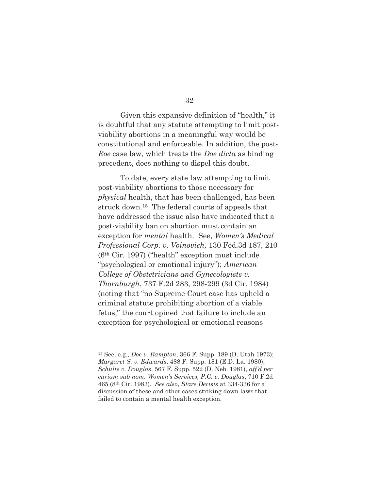32

 Given this expansive definition of "health," it is doubtful that any statute attempting to limit postviability abortions in a meaningful way would be constitutional and enforceable. In addition, the post-*Roe* case law, which treats the *Doe dicta* as binding precedent, does nothing to dispel this doubt.

 To date, every state law attempting to limit post-viability abortions to those necessary for *physical* health, that has been challenged, has been struck down.15 The federal courts of appeals that have addressed the issue also have indicated that a post-viability ban on abortion must contain an exception for *mental* health. See, *Women's Medical Professional Corp. v. Voinovich,* 130 Fed.3d 187, 210 (6th Cir. 1997) ("health" exception must include "psychological or emotional injury"); *American College of Obstetricians and Gynecologists v. Thornburgh*, 737 F.2d 283, 298-299 (3d Cir. 1984) (noting that "no Supreme Court case has upheld a criminal statute prohibiting abortion of a viable fetus," the court opined that failure to include an exception for psychological or emotional reasons

<sup>15</sup> See, e.g., *Doe v. Rampton*, 366 F. Supp. 189 (D. Utah 1973); *Margaret S. v. Edwards*, 488 F. Supp. 181 (E.D. La. 1980); *Schulte v. Douglas*, 567 F. Supp. 522 (D. Neb. 1981), *aff'd per curiam sub nom. Women's Services, P.C. v. Douglas*, 710 F.2d 465 (8th Cir. 1983). *See also*, *Stare Decisis* at 334-336 for a discussion of these and other cases striking down laws that failed to contain a mental health exception.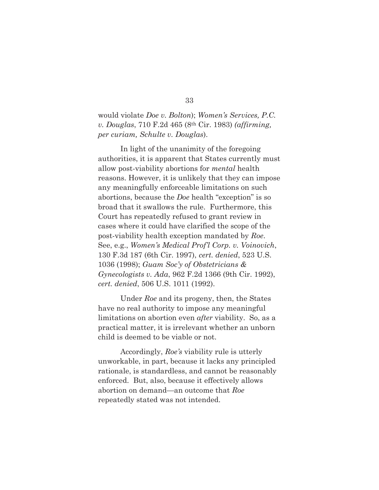would violate *Doe v. Bolton*); *Women's Services, P.C. v. Douglas*, 710 F.2d 465 (8th Cir. 1983) *(affirming, per curiam, Schulte v. Douglas*).

 In light of the unanimity of the foregoing authorities, it is apparent that States currently must allow post-viability abortions for *mental* health reasons. However, it is unlikely that they can impose any meaningfully enforceable limitations on such abortions, because the *Doe* health "exception" is so broad that it swallows the rule. Furthermore, this Court has repeatedly refused to grant review in cases where it could have clarified the scope of the post-viability health exception mandated by *Roe*. See, e.g., *Women's Medical Prof'l Corp. v. Voinovich*, 130 F.3d 187 (6th Cir. 1997), *cert. denied*, 523 U.S. 1036 (1998); *Guam Soc'y of Obstetricians & Gynecologists v. Ada*, 962 F.2d 1366 (9th Cir. 1992), *cert. denied*, 506 U.S. 1011 (1992).

 Under *Roe* and its progeny, then, the States have no real authority to impose any meaningful limitations on abortion even *after* viability. So, as a practical matter, it is irrelevant whether an unborn child is deemed to be viable or not.

 Accordingly, *Roe's* viability rule is utterly unworkable, in part, because it lacks any principled rationale, is standardless, and cannot be reasonably enforced. But, also, because it effectively allows abortion on demand—an outcome that *Roe* repeatedly stated was not intended.